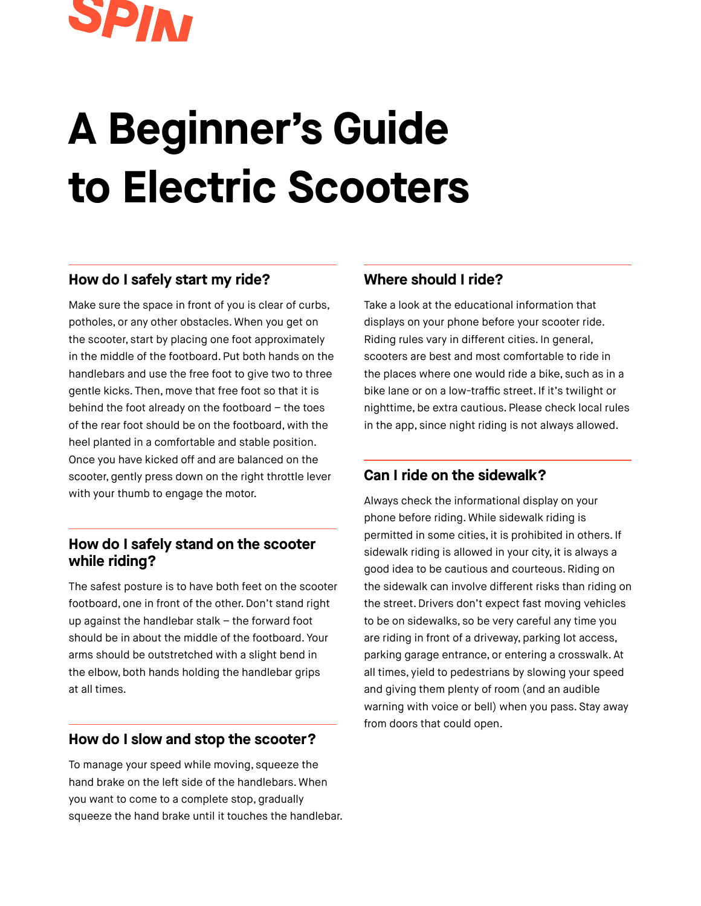

# **A Beginner's Guide to Electric Scooters**

#### **How do I safely start my ride?**

Make sure the space in front of you is clear of curbs, potholes, or any other obstacles. When you get on the scooter, start by placing one foot approximately in the middle of the footboard. Put both hands on the handlebars and use the free foot to give two to three gentle kicks. Then, move that free foot so that it is behind the foot already on the footboard – the toes of the rear foot should be on the footboard, with the heel planted in a comfortable and stable position. Once you have kicked off and are balanced on the scooter, gently press down on the right throttle lever with your thumb to engage the motor.

## **How do I safely stand on the scooter while riding?**

The safest posture is to have both feet on the scooter footboard, one in front of the other. Don't stand right up against the handlebar stalk – the forward foot should be in about the middle of the footboard. Your arms should be outstretched with a slight bend in the elbow, both hands holding the handlebar grips at all times.

## **How do I slow and stop the scooter?**

To manage your speed while moving, squeeze the hand brake on the left side of the handlebars. When you want to come to a complete stop, gradually squeeze the hand brake until it touches the handlebar.

#### **Where should I ride?**

Take a look at the educational information that displays on your phone before your scooter ride. Riding rules vary in different cities. In general, scooters are best and most comfortable to ride in the places where one would ride a bike, such as in a bike lane or on a low-traffic street. If it's twilight or nighttime, be extra cautious. Please check local rules in the app, since night riding is not always allowed.

## **Can I ride on the sidewalk?**

Always check the informational display on your phone before riding. While sidewalk riding is permitted in some cities, it is prohibited in others. If sidewalk riding is allowed in your city, it is always a good idea to be cautious and courteous. Riding on the sidewalk can involve different risks than riding on the street. Drivers don't expect fast moving vehicles to be on sidewalks, so be very careful any time you are riding in front of a driveway, parking lot access, parking garage entrance, or entering a crosswalk. At all times, yield to pedestrians by slowing your speed and giving them plenty of room (and an audible warning with voice or bell) when you pass. Stay away from doors that could open.